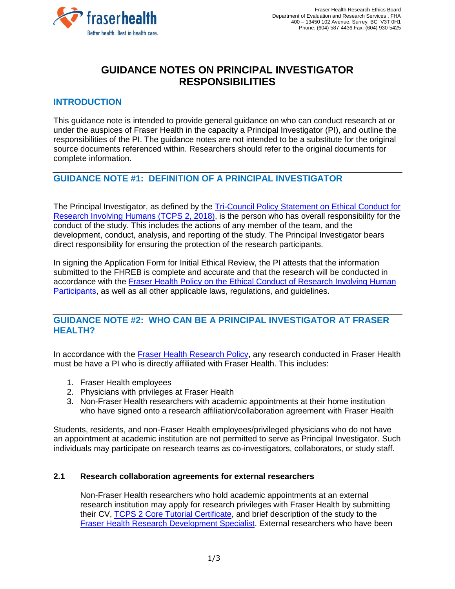

# **GUIDANCE NOTES ON PRINCIPAL INVESTIGATOR RESPONSIBILITIES**

### **INTRODUCTION**

This guidance note is intended to provide general guidance on who can conduct research at or under the auspices of Fraser Health in the capacity a Principal Investigator (PI), and outline the responsibilities of the PI. The guidance notes are not intended to be a substitute for the original source documents referenced within. Researchers should refer to the original documents for complete information.

# **GUIDANCE NOTE #1: DEFINITION OF A PRINCIPAL INVESTIGATOR**

The Principal Investigator, as defined by the [Tri-Council Policy Statement on Ethical Conduct for](http://www.pre.ethics.gc.ca/eng/documents/tcps2-2018-en-interactive-final.pdf)  [Research Involving Humans \(TCPS 2, 2018\),](http://www.pre.ethics.gc.ca/eng/documents/tcps2-2018-en-interactive-final.pdf) is the person who has overall responsibility for the conduct of the study. This includes the actions of any member of the team, and the development, conduct, analysis, and reporting of the study. The Principal Investigator bears direct responsibility for ensuring the protection of the research participants.

In signing the Application Form for Initial Ethical Review, the PI attests that the information submitted to the FHREB is complete and accurate and that the research will be conducted in accordance with the [Fraser Health Policy on the Ethical Conduct of](https://www.fraserhealth.ca/-/media/Project/FraserHealth/FraserHealth/Health-Professionals/Research-and-Evaluation-Services/201708_research_ethics_policy.pdf?la=en&hash=BD9B6CACC697AAE26F969767A3D26BE3297885A2) Research Involving Human [Participants,](https://www.fraserhealth.ca/-/media/Project/FraserHealth/FraserHealth/Health-Professionals/Research-and-Evaluation-Services/201708_research_ethics_policy.pdf?la=en&hash=BD9B6CACC697AAE26F969767A3D26BE3297885A2) as well as all other applicable laws, regulations, and guidelines.

### **GUIDANCE NOTE #2: WHO CAN BE A PRINCIPAL INVESTIGATOR AT FRASER HEALTH?**

In accordance with the [Fraser Health Research Policy,](https://www.fraserhealth.ca/-/media/Project/FraserHealth/FraserHealth/Health-Professionals/Research-and-Evaluation-Services/201708_fraser_health_research_policy.pdf?la=en&hash=8C057C2DF7C7F7EDB2A22CD2FDB56F0693E724F1) any research conducted in Fraser Health must be have a PI who is directly affiliated with Fraser Health. This includes:

- 1. Fraser Health employees
- 2. Physicians with privileges at Fraser Health
- 3. Non-Fraser Health researchers with academic appointments at their home institution who have signed onto a research affiliation/collaboration agreement with Fraser Health

Students, residents, and non-Fraser Health employees/privileged physicians who do not have an appointment at academic institution are not permitted to serve as Principal Investigator. Such individuals may participate on research teams as co-investigators, collaborators, or study staff.

#### **2.1 Research collaboration agreements for external researchers**

Non-Fraser Health researchers who hold academic appointments at an external research institution may apply for research privileges with Fraser Health by submitting their CV, [TCPS 2 Core Tutorial Certificate,](https://tcps2core.ca/welcome) and brief description of the study to the [Fraser Health Research Development Specialist.](https://www.fraserhealth.ca/employees/research-and-evaluation/contact-research-evaluation-library-services-research-team#.XVHpE5NKiUk) External researchers who have been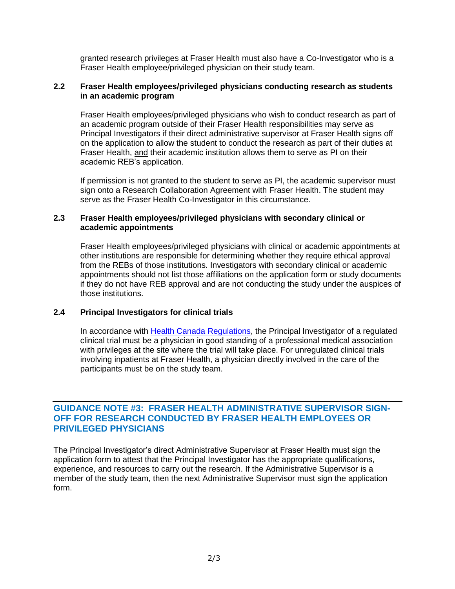granted research privileges at Fraser Health must also have a Co-Investigator who is a Fraser Health employee/privileged physician on their study team.

#### **2.2 Fraser Health employees/privileged physicians conducting research as students in an academic program**

Fraser Health employees/privileged physicians who wish to conduct research as part of an academic program outside of their Fraser Health responsibilities may serve as Principal Investigators if their direct administrative supervisor at Fraser Health signs off on the application to allow the student to conduct the research as part of their duties at Fraser Health, and their academic institution allows them to serve as PI on their academic REB's application.

If permission is not granted to the student to serve as PI, the academic supervisor must sign onto a Research Collaboration Agreement with Fraser Health. The student may serve as the Fraser Health Co-Investigator in this circumstance.

#### **2.3 Fraser Health employees/privileged physicians with secondary clinical or academic appointments**

Fraser Health employees/privileged physicians with clinical or academic appointments at other institutions are responsible for determining whether they require ethical approval from the REBs of those institutions. Investigators with secondary clinical or academic appointments should not list those affiliations on the application form or study documents if they do not have REB approval and are not conducting the study under the auspices of those institutions.

#### **2.4 Principal Investigators for clinical trials**

In accordance with [Health Canada Regulations,](https://laws-lois.justice.gc.ca/eng/regulations/c.r.c.,_c._870/page-134.html#h-577812) the Principal Investigator of a regulated clinical trial must be a physician in good standing of a professional medical association with privileges at the site where the trial will take place. For unregulated clinical trials involving inpatients at Fraser Health, a physician directly involved in the care of the participants must be on the study team.

#### **GUIDANCE NOTE #3: FRASER HEALTH ADMINISTRATIVE SUPERVISOR SIGN-OFF FOR RESEARCH CONDUCTED BY FRASER HEALTH EMPLOYEES OR PRIVILEGED PHYSICIANS**

The Principal Investigator's direct Administrative Supervisor at Fraser Health must sign the application form to attest that the Principal Investigator has the appropriate qualifications, experience, and resources to carry out the research. If the Administrative Supervisor is a member of the study team, then the next Administrative Supervisor must sign the application form.